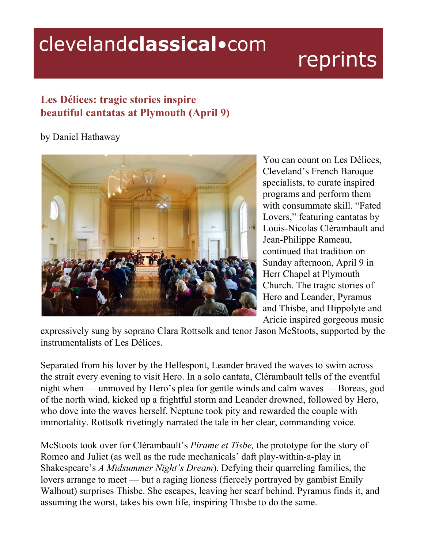## clevelandclassical.com

## reprints

## **Les Délices: tragic stories inspire beautiful cantatas at Plymouth (April 9)**

## by Daniel Hathaway



You can count on Les Délices, Cleveland's French Baroque specialists, to curate inspired programs and perform them with consummate skill. "Fated Lovers," featuring cantatas by Louis-Nicolas Clérambault and Jean-Philippe Rameau, continued that tradition on Sunday afternoon, April 9 in Herr Chapel at Plymouth Church. The tragic stories of Hero and Leander, Pyramus and Thisbe, and Hippolyte and Aricie inspired gorgeous music

expressively sung by soprano Clara Rottsolk and tenor Jason McStoots, supported by the instrumentalists of Les Délices.

Separated from his lover by the Hellespont, Leander braved the waves to swim across the strait every evening to visit Hero. In a solo cantata, Clérambault tells of the eventful night when — unmoved by Hero's plea for gentle winds and calm waves — Boreas, god of the north wind, kicked up a frightful storm and Leander drowned, followed by Hero, who dove into the waves herself. Neptune took pity and rewarded the couple with immortality. Rottsolk rivetingly narrated the tale in her clear, commanding voice.

McStoots took over for Clérambault's *Pirame et Tisbe,* the prototype for the story of Romeo and Juliet (as well as the rude mechanicals' daft play-within-a-play in Shakespeare's *A Midsummer Night's Dream*). Defying their quarreling families, the lovers arrange to meet — but a raging lioness (fiercely portrayed by gambist Emily Walhout) surprises Thisbe. She escapes, leaving her scarf behind. Pyramus finds it, and assuming the worst, takes his own life, inspiring Thisbe to do the same.